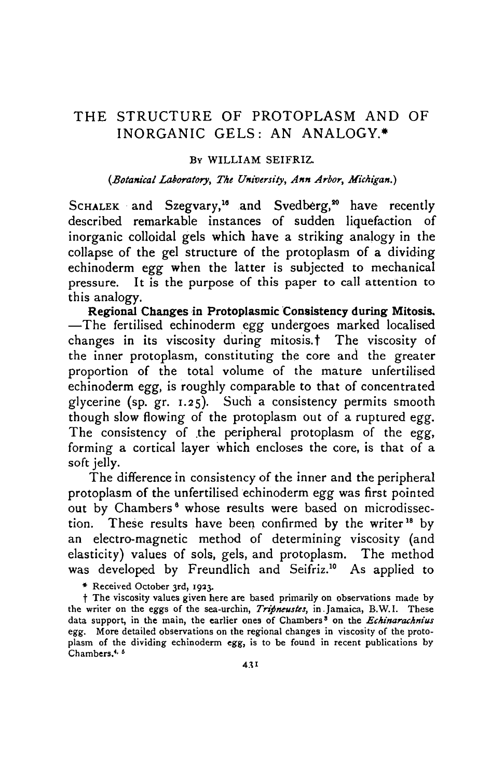### THE STRUCTURE OF PROTOPLASM AND OF INORGANIC GELS: AN ANALOGY.\*

### BY WILLIAM SEIFRIZ.

### *{Botanical Laboratory, The University, Ann Arbor, Michigan.)*

SCHALEK and Szegvary,<sup>16</sup> and Svedberg,<sup>20</sup> have recently described remarkable instances of sudden liquefaction of inorganic colloidal gels which have a striking analogy in the collapse of the gel structure of the protoplasm of a dividing echinoderm *egg* when the latter is subjected to mechanical pressure. It is the purpose of this paper to call attention to this analogy.

**Regional Changes in Protoplasmic Consistency during Mitosis.** —The fertilised echinoderm *egg* undergoes marked localised changes in its viscosity during mitosis, **t** The viscosity of the inner protoplasm, constituting the core and the greater proportion of the total volume of the mature unfertilised echinoderm *egg,* is roughly comparable to that of concentrated glycerine (sp. gr. 1.25). Such a consistency permits smooth though slow flowing of the protoplasm out of a ruptured *egg.* The consistency of .the peripheral protoplasm of the *egg,* forming a cortical layer which encloses the core, is that of a soft jelly.

The difference in consistency of the inner and the peripheral protoplasm of the unfertilised echinoderm *egg* was first pointed out by Chambers<sup>6</sup> whose results were based on microdissection. These results have been confirmed by the writer<sup>18</sup> by an electro-magnetic method of determining viscosity (and elasticity) values of sols, gels, and protoplasm. The method was developed by Freundlich and Seifriz.<sup>10</sup> As applied to

\* Received October 3rd, 1933.

f The viscosity values given here are based primarily on observations made by the writer on the eggs of the sea-urchin, *Tripneustes,* in.Jamaica, B.W.I. These data support, in the main, the earlier ones of Chambers' on the *Echinarachnius* egg. More detailed observations on the regional changes in viscosity of the protoplasm of the dividing echinoderm egg, is to be found in recent publications by Chambers.<sup>4, 6</sup>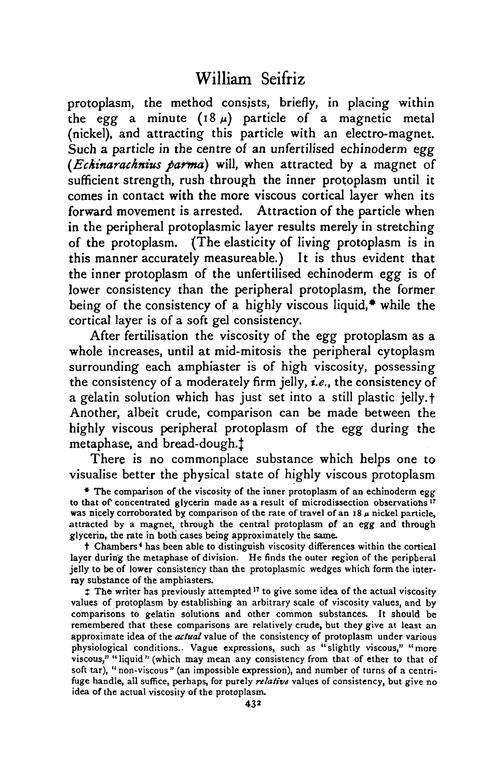protoplasm, the method consists, briefly, in placing within the egg a minute  $(18 \mu)$  particle of a magnetic metal (nickel), and attracting this particle with an electro-magnet. Such a particle in the centre of an unfertilised echinoderm *egg (Eckinaracknius parma)* will, when attracted by a magnet of sufficient strength, rush through the inner protoplasm until it comes in contact with the more viscous cortical layer when its forward movement is arrested. Attraction of the particle when in the peripheral protoplasmic layer results merely in stretching of the protoplasm. (The elasticity of living protoplasm is in this manner accurately measureable.) It is thus evident that the inner protoplasm of the unfertilised echinoderm *egg* is of lower consistency than the peripheral protoplasm, the former being of the consistency of a highly viscous liquid,\* while the cortical layer is of a soft gel consistency.

After fertilisation the viscosity of the *egg* protoplasm as a whole increases, until at mid-mitosis the peripheral cytoplasm surrounding each amphiaster is of high viscosity, possessing the consistency of a moderately firm jelly, *i.e.,* the consistency of a gelatin solution which has just set into a still plastic jelly, f Another, albeit crude, comparison can be made between the highly viscous peripheral protoplasm of the *egg* during the metaphase, and bread-dough.<sup>†</sup>

There is no commonplace substance which helps one to visualise better the physical state of highly viscous protoplasm

• The comparison of the viscosity of the inner protoplasm of an echinoderm egg to that of concentrated glycerin made as a result of microdissection observations<sup>17</sup> was nicely corroborated by comparison of the rate of travel of an 18  $\mu$  nickel particle, attracted by a magnet, through the central protoplasm of an egg and through glycerin, the rate in both cases being approximately the same.

t Chambers<sup>4</sup> has been able to distinguish viscosity differences within the cortical layer during the metaphase of division. He finds the outer region of the peripheral jelly to be of lower consistency than the protoplasmic wedges which form the inter- ray substance of the ampbiasters,

<sup>t</sup> The writer has previously attempted<sup>17</sup> to give some idea of the actual viscosity values of protoplasm by establishing an arbitrary scale of viscosity values, and by comparisons to gelatin solutions and other common substances. It should be remembered that these comparisons are relatively crude, but they give at least an approximate idea of the *actual* value of the consistency of protoplasm under various physiological conditions.. Vague expressions, such as "slightly viscous," "more viscous," "liquid" (which may mean any consistency from that of ether to that of soft tar), " non-viscous" (an impossible expression), and number of turns of a centri-<br>fuge handle, all suffice, perhaps, for purely *relative* values of consistency, but give no idea of the actual viscosity of the protoplasm.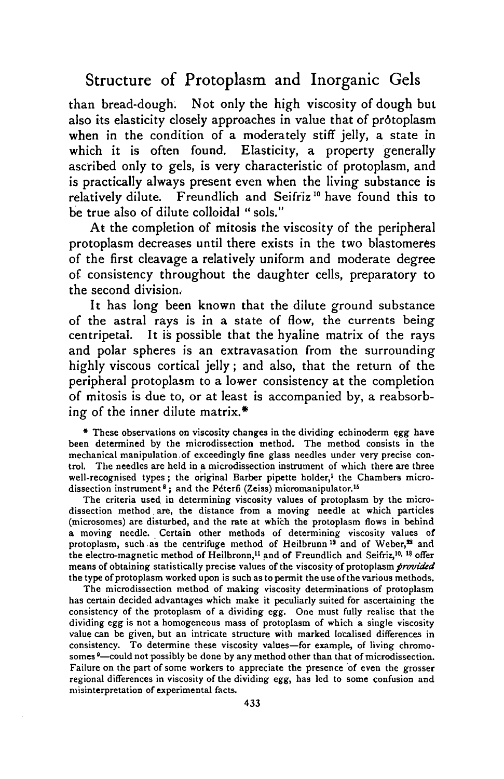than bread-dough. Not only the high viscosity of dough but also its elasticity closely approaches in value that of protoplasm when in the condition of a moderately stiff jelly, a state in which it is often found. Elasticity, a property generally ascribed only to gels, is very characteristic of protoplasm, and is practically always present even when the living substance is relatively dilute. Freundlich and Seifriz<sup>10</sup> have found this to be true also of dilute colloidal "sols."

At the completion of mitosis the viscosity of the peripheral protoplasm decreases until there exists in the two blastomeres of the first cleavage a relatively uniform and moderate degree of consistency throughout the daughter cells, preparatory to the second division.

It has long been known that the dilute ground substance of the astral rays is in a state of flow, the currents being centripetal. It is possible that the hyaline matrix of the rays and polar spheres is an extravasation from the surrounding highly viscous cortical jelly; and also, that the return of the peripheral protoplasm to a lower consistency at the completion of mitosis is due to, or at least is accompanied by, a reabsorbing of the inner dilute matrix.\*

\* These observations on viscosity changes in the dividing echinoderm egg have been determined by the microdissection method. The method consists in the mechanical manipulation.of exceedingly fine glass needles under very precise control. The needles are held in a microdissection instrument of which there are three well-recognised types; the original Barber pipette holder,<sup>1</sup> the Chambers microdissection instrument<sup>8</sup>; and the Péterfi (Zeiss) micromanipulator.<sup>16</sup>

The criteria used in determining viscosity values of protoplasm by the microdissection method are, the distance from a moving needle at which particles (microsomes) are disturbed, and the rate at which the protoplasm flows in behind a moving needle. Certain other methods of determining viscosity values of protoplasm, such as the centrifuge method of Heilbrunn<sup>19</sup> and of Weber,<sup>12</sup> and the electro-magnetic method of Heilbronn,<sup>11</sup> and of Freundlich and Seifriz,<sup>10, 18</sup> offer means of obtaining statistically precise values of the viscosity of protoplasm *provided* the type of protoplasm worked upon is such as to permit the use of the various methods.

The microdissection method of making viscosity determinations of protoplasm has certain decided advantages which make it peculiarly suited for ascertaining the consistency of the protoplasm of a dividing egg. One must fully realise that the dividing egg is not a homogeneous mass of protoplasm of which a single viscosity value can be given, but an intricate structure with marked localised differences in consistency. To determine these viscosity values—for example, of living chromosomes<sup>9</sup>—could not possibly be done by any method other than that of microdissection. Failure on the part of some workers to appreciate the presence of even the grosser regional differences in viscosity of the dividing *egg,* has led to some confusion and misinterpretation of experimental facts.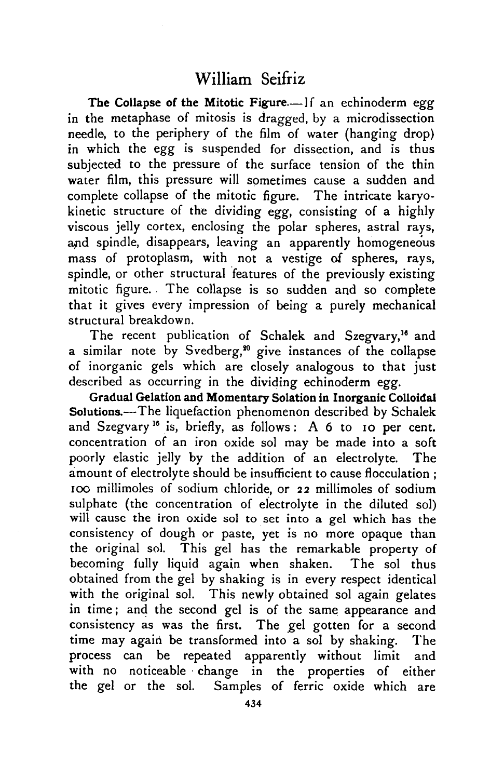The Collapse of the Mitotic Figure.—If an echinoderm egg in the metaphase of mitosis is dragged, by a microdissection needle, to the periphery of the film of water (hanging drop) in which the egg is suspended for dissection, and is thus subjected to the pressure of the surface tension of the thin water film, this pressure will sometimes cause a sudden and complete collapse of the mitotic figure. The intricate karyokinetic structure of the dividing *egg,* consisting of a highly viscous jelly cortex, enclosing the polar spheres, astral rays, and spindle, disappears, leaving an apparently homogeneous mass of protoplasm, with not a vestige of spheres, rays, spindle, or other structural features of the previously existing mitotic figure. The collapse is so sudden and so complete that it gives every impression of being a purely mechanical structural breakdown.

The recent publication of Schalek and Szegvary,<sup>16</sup> and a similar note by Svedberg,<sup>30</sup> give instances of the collapse of inorganic gels which are closely analogous to that just described as occurring in the dividing echinoderm *egg.*

Gradual Gelation and Momentary Solation in Inorganic Colloidal Solutions.—The liquefaction phenomenon described by Schalek and Szegvary<sup>16</sup> is, briefly, as follows: A 6 to 10 per cent. concentration of an iron oxide sol may be made into a soft poorly elastic jelly by the addition of an electrolyte. The amount of electrolyte should be insufficient to cause flocculation ; 100 millimoles of sodium chloride, or 22 millimoles of sodium sulphate (the concentration of electrolyte in the diluted sol) will cause the iron oxide sol to set into a gel which has the consistency of dough or paste, yet is no more opaque than the original sol. This gel has the remarkable property of becoming fully liquid again when shaken. The sol thus obtained from the gel by shaking is in every respect identical with the original sol. This newly obtained sol again gelates in time; and the second gel is of the same appearance and consistency as was the first. The gel gotten for a second time may again be transformed into a sol by shaking. The process can be repeated apparently without limit and with no noticeable change in the properties of either the gel or the sol. Samples of ferric oxide which are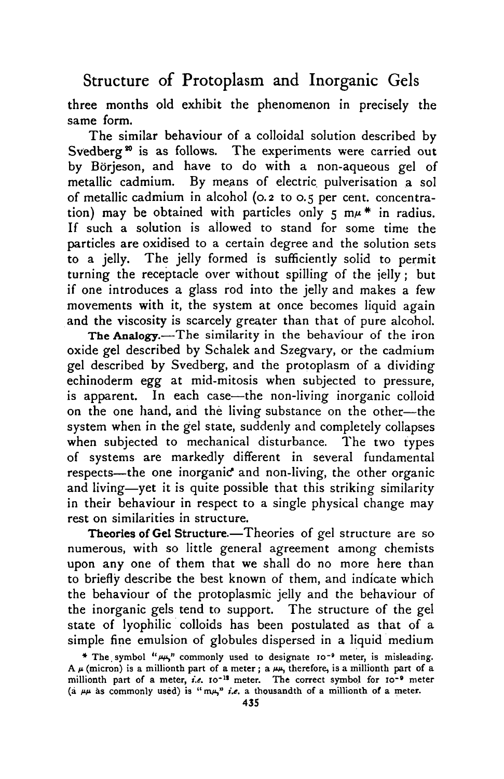three months old exhibit the phenomenon in precisely the same form.

The similar behaviour of a colloidal solution described by Svedberg<sup>30</sup> is as follows. The experiments were carried out by Borjeson, and have to do with a non-aqueous gel of metallic cadmium. By means of electric pulverisation a sol of metallic cadmium in alcohol (0.2 to 0.5 per cent, concentration) may be obtained with particles only  $5 \text{ m} \mu^*$  in radius. If such a solution is allowed to stand for some time the particles are oxidised to a certain degree and the solution sets to a jelly. The jelly formed is sufficiently solid to permit turning the receptacle over without spilling of the jelly; but if one introduces a glass rod into the jelly and makes a few movements with it, the system at once becomes liquid again and the viscosity is scarcely greater than that of pure alcohol.

The Analogy.—The similarity in the behaviour of the iron oxide gel described by Schalek and Szegvary, or the cadmium gel described by Svedberg, and the protoplasm of a dividing echinoderm egg at mid-mitosis when subjected to pressure, is apparent. In each case—the non-living inorganic colloid on the one hand, and the living substance on the other—the system when in the gel state, suddenly and completely collapses when subjected to mechanical disturbance. The two types of systems are markedly different in several fundamental respects—the one inorganic<sup>\*</sup> and non-living, the other organic and living—yet it is quite possible that this striking similarity in their behaviour in respect to a single physical change may rest on similarities in structure.

Theories of Gel Structure.—Theories of gel structure are so numerous, with so little general agreement among chemists upon any one of them that we shall do no more here than to briefly describe the best known of them, and indicate which the behaviour of the protoplasmic jelly and the behaviour of the inorganic gels tend to support. The structure of the gel state of lyophilic colloids has been postulated as that of a simple fine emulsion of globules dispersed in a liquid medium

<sup>\*</sup> The symbol " $\mu$ y" commonly used to designate 10<sup>-9</sup> A  $\mu$  (micron) is a millionth part of a meter; a  $\mu\mu$ , therefore, is a millionth part of a millionth part of a meter, *i.e.* 10<sup>-18</sup> meter. The correct symbol for 10<sup>-9</sup> meter (a  $\mu\mu$  as commonly used) is "  $m\mu$ " *i.e.* a thousandth of a millionth of a meter.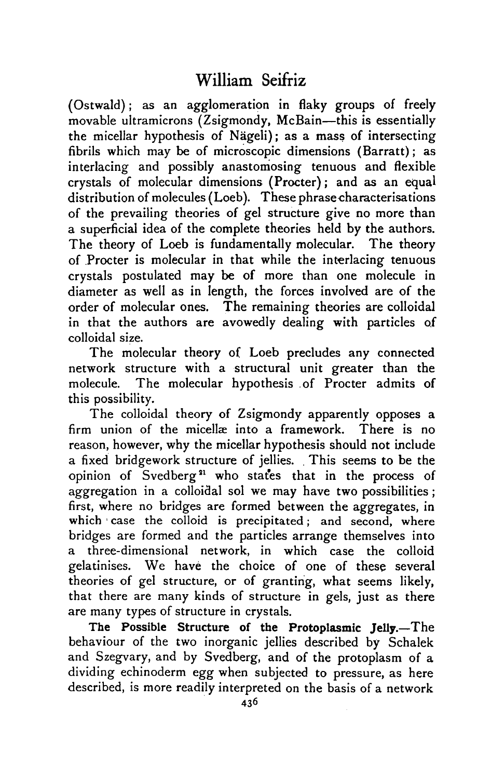(Ostwald); as an agglomeration in flaky groups of freely movable ultramicrons (Zsigmondy, McBain—this is essentially the micellar hypothesis of Nageli); as a mass of intersecting fibrils which may be of microscopic dimensions (Barratt); as interlacing and possibly anastomosing tenuous and flexible crystals of molecular dimensions (Procter); and as an equal distribution of molecules (Loeb). These phrase characterisations of the prevailing theories of gel structure give no more than a superficial idea of the complete theories held by the authors. The theory of Loeb is fundamentally molecular. The theory of Procter is molecular in that while the interlacing tenuous crystals postulated may be of more than one molecule in diameter as well as in length, the forces involved are of the order of molecular ones. The remaining theories are colloidal in that the authors are avowedly dealing with particles of colloidal size.

The molecular theory of Loeb precludes any connected network structure with a structural unit greater than the molecule. The molecular hypothesis of Procter admits of this possibility.

The colloidal theory of Zsigmondy apparently opposes a firm union of the micellæ into a framework. There is no reason, however, why the micellar hypothesis should not include a fixed bridgework structure of jellies. . This seems to be the opinion of Svedberg<sup>21</sup> who states that in the process of aggregation in a colloidal sol we may have two possibilities ; first, where no bridges are formed between the aggregates, in which case the colloid is precipitated; and second, where bridges are formed and the particles arrange themselves into a three-dimensional network, in which case the colloid gelatinises. We have the choice of one of these several theories of gel structure, or of granting, what seems likely, that there are many kinds of structure in gels, just as there are many types of structure in crystals.

The Possible Structure of the Protoplasmic Jelly.—The behaviour of the two inorganic jellies described by Schalek and Szegvary, and by Svedberg, and of the protoplasm of a dividing echinoderm *egg* when subjected to pressure, as here described, is more readily interpreted on the basis of a network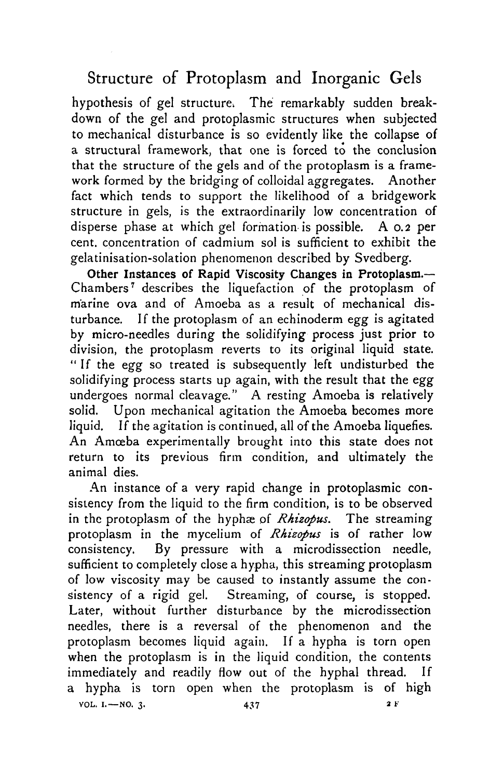hypothesis of gel structure. The remarkably sudden breakdown of the gel and protoplasmic structures when subjected to mechanical disturbance is so evidently like the collapse of a structural framework, that one is forced to the conclusion that the structure of the gels and of the protoplasm is a framework formed by the bridging of colloidal aggregates. Another fact which tends to support the likelihood of a bridgework structure in gels, is the extraordinarily low concentration of disperse phase at which gel formation is possible. A 0.2 per cent, concentration of cadmium sol is sufficient to exhibit the gelatinisation-solation phenomenon described by Svedberg.

Other Instances of Rapid Viscosity Changes in Protoplasm.— Chambers<sup>7</sup> describes the liquefaction of the protoplasm of marine ova and of Amoeba as a result of mechanical disturbance. If the protoplasm of an echinoderm *egg* is agitated by micro-needles during the solidifying process just prior to division, the protoplasm reverts to its original liquid state. "If the *egg* so treated is subsequently left undisturbed the solidifying process starts up again, with the result that the *egg* undergoes normal cleavage." A resting Amoeba is relatively solid. Upon mechanical agitation the Amoeba becomes more liquid. If the agitation is continued, all of the Amoeba liquefies. An Amoeba experimentally brought into this state does not return to its previous firm condition, and ultimately the animal dies.

An instance of a very rapid change in protoplasmic consistency from the liquid to the firm condition, is to be observed in the protoplasm of the hyphæ of *Rhizopus*. The streaming protoplasm in the mycelium of *Rhizopus* is of rather low consistency. By pressure with a microdissection needle, sufficient to completely close a hypha, this streaming protoplasm of low viscosity may be caused to instantly assume the consistency of a rigid gel. Streaming, of course, is stopped. Later, without further disturbance by the microdissection needles, there is a reversal of the phenomenon and the protoplasm becomes liquid again. If a hypha is torn open when the protoplasm is in the liquid condition, the contents immediately and readily flow out of the hyphal thread. If a hypha is torn open when the protoplasm is of high **VOL. I.—NO. 3. 437 2 F**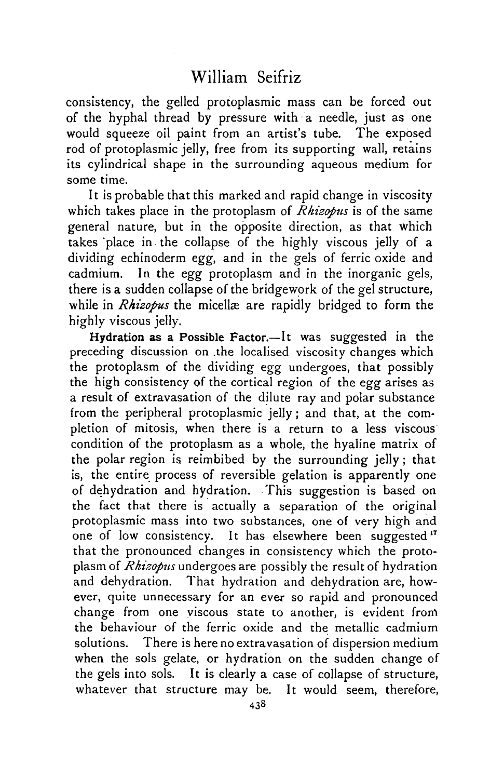consistency, the gelled protoplasmic mass can be forced out of the hyphal thread by pressure with a needle, just as one would squeeze oil paint from an artist's tube. The exposed rod of protoplasmic jelly, free from its supporting wall, retains its cylindrical shape in the surrounding aqueous medium for some time.

It is probable that this marked and rapid change in viscosity which takes place in the protoplasm of *Rhizopus* is of the same general nature, but in the opposite direction, as that which takes 'place in the collapse of the highly viscous jelly of a dividing echinoderm *egg,* and in the gels of ferric oxide and cadmium. In the *egg* protoplasm and in the inorganic gels, there is a sudden collapse of the bridgework of the gel structure, while in *Rhizopus* the micellæ are rapidly bridged to form the highly viscous jelly.

Hydration as a Possible Factor.—It was suggested in the preceding discussion on .the localised viscosity changes which the protoplasm of the dividing egg undergoes, that possibly the high consistency of the cortical region of the *egg* arises as a result of extravasation of the dilute ray and polar substance from the peripheral protoplasmic jelly; and that, at the completion of mitosis, when there is a return to a less viscous condition of the protoplasm as a whole, the hyaline matrix of the polar region is reimbibed by the surrounding jelly; that is, the entire process of reversible gelation is apparently one of dehydration and hydration. This suggestion is based on the fact that there is actually a separation of the original protoplasmic mass into two substances, one of very high and one of low consistency. It has elsewhere been suggested<sup>17</sup> that the pronounced changes in consistency which the protoplasm of *Rhizopus* undergoes are possibly the result of hydration and dehydration. That hydration and dehydration are, however, quite unnecessary for an ever so rapid and pronounced change from one viscous state to another, is evident frorn the behaviour of the ferric oxide and the metallic cadmium solutions. There is here no extravasation of dispersion medium when the sols gelate, or hydration on the sudden change of the gels into sols. It is clearly a case of collapse of structure, whatever that structure may be. It would seem, therefore,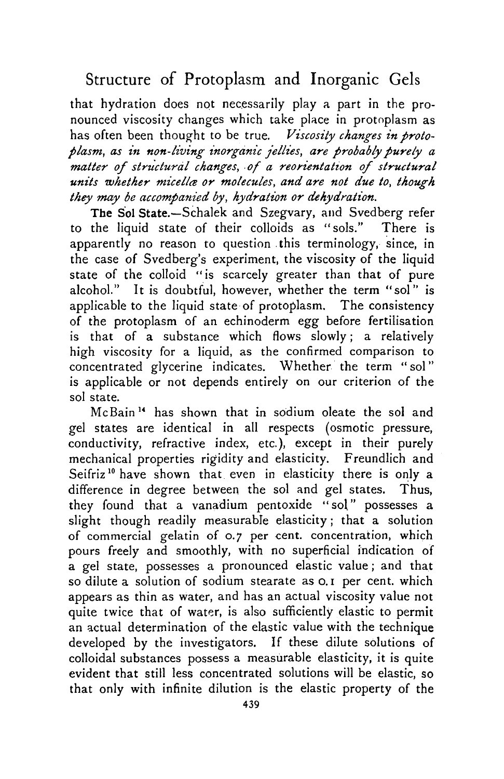that hydration does not necessarily play a part in the pronounced viscosity changes which take place in protoplasm as has often been thought to be true. *Viscosity changes in protoplasm, as in non-living inorganic jellies, are probably purely a matter of structural changes, of a reorientation of structural units whether micelles or molecules, and are not due to, though they may be accompanied by, hydration or dehydration.*

The Sol State.—Schalek and Szegvary, and Svedberg refer to the liquid state of their colloids as "sols." There is apparently no reason to question this terminology, since, in the case of Svedberg's experiment, the viscosity of the liquid state of the colloid "is scarcely greater than that of pure alcohol." It is doubtful, however, whether the term "sol" is applicable to the liquid state of protoplasm. The consistency of the protoplasm of an echinoderm *egg* before fertilisation is that of a substance which flows slowly; a relatively high viscosity for a liquid, as the confirmed comparison to concentrated glycerine indicates. Whether the term " sol" is applicable or not depends entirely on our criterion of the sol state.

McBain<sup>14</sup> has shown that in sodium oleate the sol and gel states are identical in all respects (osmotic pressure, conductivity, refractive index, etc.), except in their purely mechanical properties rigidity and elasticity. Freundlich and Seifriz<sup>10</sup> have shown that even in elasticity there is only a difference in degree between the sol and gel states. Thus, they found that a vanadium pentoxide "sol" possesses a slight though readily measurable elasticity; that a solution of commercial gelatin of 0.7 per cent, concentration, which pours freely and smoothly, with no superficial indication of a gel state, possesses a pronounced elastic value; and that so dilute a solution of sodium stearate as  $o, i$  per cent, which appears as thin as water, and has an actual viscosity value not quite twice that of water, is also sufficiently elastic to permit an actual determination of the elastic value with the technique developed by the investigators. If these dilute solutions of colloidal substances possess a measurable elasticity, it is quite evident that still less concentrated solutions will be elastic, so that only with infinite dilution is the elastic property of the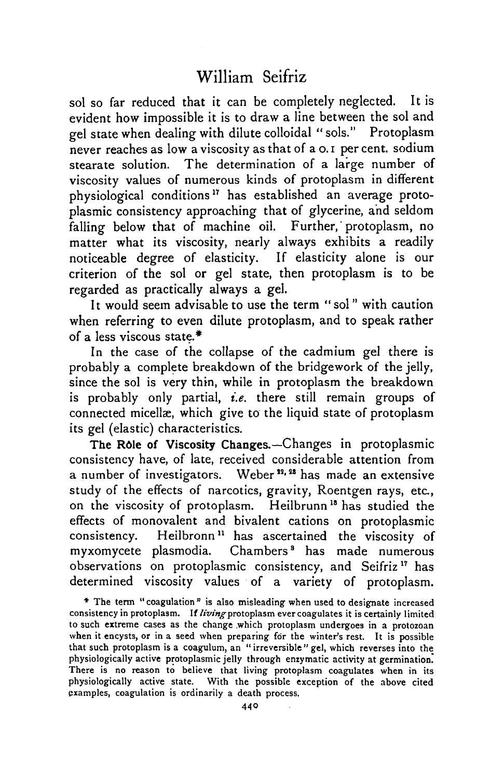sol so far reduced that it can be completely neglected. It is evident how impossible it is to draw a line between the sol and gel state when dealing with dilute colloidal " sols." Protoplasm never reaches as low a viscosity as that of a o. i per cent, sodium stearate solution. The determination of a large number of viscosity values of numerous kinds of protoplasm in different physiological conditions<sup>17</sup> has established an average protoplasmic consistency approaching that of glycerine, and seldom falling below that of machine oil. Further, protoplasm, no matter what its viscosity, nearly always exhibits a readily noticeable degree of elasticity. If elasticity alone is our criterion of the sol or gel state, then protoplasm is to be regarded as practically always a gel.

It would seem advisable to use the term " sol" with caution when referring to even dilute protoplasm, and to speak rather of a less viscous state.\*

In the case of the collapse of the cadmium gel there is probably a complete breakdown of the bridgework of the jelly, since the sol is very thin, while in protoplasm the breakdown is probably only partial, *i.e.* there still remain groups of connected micellae, which give to the liquid state of protoplasm its gel (elastic) characteristics.

The Role of Viscosity Changes.—Changes in protoplasmic consistency have, of late, received considerable attention from a number of investigators. Weber<sup>12, 28</sup> has made an extensive study of the effects of narcotics, gravity, Roentgen rays, etc., on the viscosity of protoplasm. Heilbrunn<sup>18</sup> has studied the effects of monovalent and bivalent cations on protoplasmic consistency. Heilbronn" has ascertained the viscosity of myxomycete plasmodia. Chambers<sup>8</sup> has made numerous observations on protoplasmic consistency, and Seifriz<sup>17</sup> has determined viscosity values of a variety of protoplasm.

• The term "coagulation" is also misleading when used to designate increased consistency in protoplasm. If living protoplasm ever coagulates it is certainly limited to such extreme cases as the change .which protoplasm undergoes in a protozoan when it encysts, or in a seed when preparing for the winter's rest. It is possible that such protoplasm is a coagulum, an " irreversible " gel, which reverses into the physiologically active protoplasmic jelly through enzymatic activity at germination. There is no reason to believe that living protoplasm coagulates when in its physiologically active state. With the possible exception of the above cited examples, coagulation is ordinarily a death process.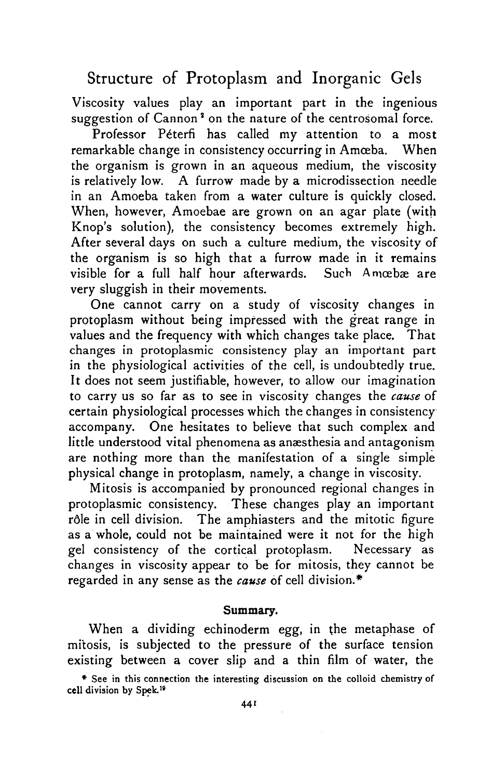Viscosity values play an important part in the ingenious suggestion of Cannon<sup>2</sup> on the nature of the centrosomal force.

Professor Péterfi has called my attention to a most remarkable change in consistency occurring in Amœba. When the organism is grown in an aqueous medium, the viscosity is relatively low. A furrow made by a microdissection needle in an Amoeba taken from a water culture is quickly closed. When, however, Amoebae are grown on an agar plate (with Knop's solution), the consistency becomes extremely high. After several days on such a culture medium, the viscosity of the organism is so high that a furrow made in it remains visible for a full half hour afterwards. Such Amcebæ are very sluggish in their movements.

One cannot carry on a study of viscosity changes in protoplasm without being impressed with the great range in values and the frequency with which changes take place. That changes in protoplasmic consistency play an important part in the physiological activities of the cell, is undoubtedly true. It does not seem justifiable, however, to allow our imagination to carry us so far as to see in viscosity changes the *cause* of certain physiological processes which the changes in consistency accompany. One hesitates to believe that such complex and little understood vital phenomena as anæsthesia and antagonism are nothing more than the manifestation of a single simple physical change in protoplasm, namely, a change in viscosity.

Mitosis is accompanied by pronounced regional changes in protoplasmic consistency. These changes play an important rdle in cell division. The amphiasters and the mitotic figure as a whole, could not be maintained were it not for the high gel consistency of the cortical protoplasm. Necessary as changes in viscosity appear to be for mitosis, they cannot be regarded in any sense as the *cause* of cell division.\*

### **Summary.**

When a dividing echinoderm *egg,* in the metaphase of mitosis, is subjected to the pressure of the surface tension existing between a cover slip and a thin film of water, the

• See in this connection the interesting discussion on the colloid chemistry of **cell** division by Spek.<sup>1</sup> '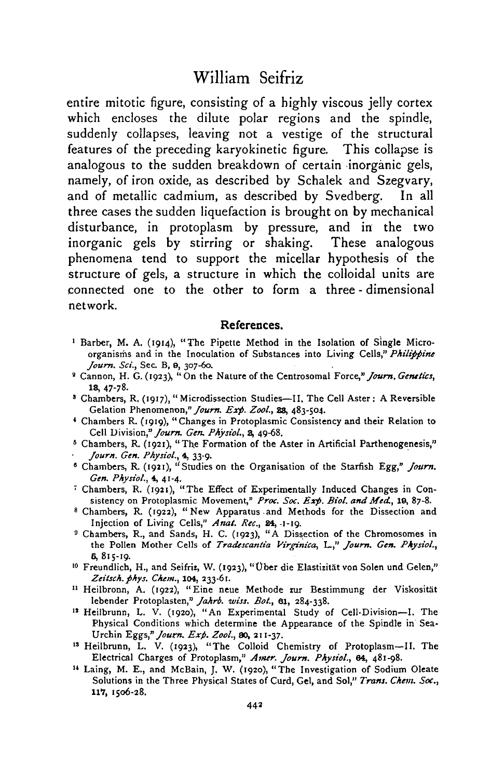## William Seifriz

entire mitotic figure, consisting of a highly viscous jelly cortex which encloses the dilute polar regions and the spindle, suddenly collapses, leaving not a vestige of the structural features of the preceding karyokinetic figure. This collapse is analogous to the sudden breakdown of certain inorganic gels, namely, of iron oxide, as described by Schalek and Szegvary, and of metallic cadmium, as described by Svedberg. In all three cases the sudden liquefaction is brought on by mechanical disturbance, in protoplasm by pressure, and in the two inorganic gels by stirring or shaking. These analogous phenomena tend to support the micellar hypothesis of the structure of gels, a structure in which the colloidal units are connected one to the other to form a three - dimensional network.

#### **References.**

- <sup>1</sup> Barber, M. A. (1914), "The Pipette Method in the Isolation of Single Microorganisms and in the Inoculation of Substances into Living Cells," *Philippine Journ. Sci.*, Sec. B, 9, 307-60.
- Cannon, H. G. (1923), "On the Nature of the Centrosomal Force," *Journ. Genetics,*
- 18, 47-78. <sup>3</sup> Chambers, R. (1917), " Microdissection Studies—II. The Cell Aster: A Reversible Gelation Phenomenon," *Journ. Exp. Zoo/.,* 23, 483-504.
- <sup>4</sup> Chambers R. (1919), "Changes in Protoplasmic Consistency and their Relation to Cell Division," Journ. Gen. Physiol., 2, 49-68.
- Cell Division," *Journ. Gen. Physiol.*, 2, 49-68.<br><sup>8</sup> Chambers, R. (1921), "The Formation of the Aster in Artificial Parthenogenesis,"
- *Journ. Gen. Physio/.,* 4, 33-9. <sup>8</sup> Chambers, R. (1921), ''Studies on the Organisation of the Starfish Egg," *Journ.*
- *Gen. Physiol.*, 4, 41-4.<br><sup>7</sup> Chambers, R. (1921), "The Effect of Experimentally Induced Changes in Consistency on Protoplasmic Movement," Proc. Soc. Exp. Biol. and Med., 19, 87-8.
- Chambers, R. (1922), "New Apparatus and Methods for the Dissection and Injection of Living Cells," Anat. Rec., 24, 1-19.
- <sup>9</sup> Chambers, R., and Sands, H. C. (1923), "A Dissection of the Chromosomes in the Pollen Mother Cells of *Tradescantia Virginica,* I\_," *Journ. Gen. Physio/.,* 6,815-19. <sup>10</sup> Freundlich, H., and Seifrir, W. (1923), "Ober die Elastizitat von Solen und Gelen,"
- Zeitsch. phys. Chem., 104, 233-61.
- <sup>11</sup> Heilbronn, A. (1922), "Eine neue Methode zur Bestimmung der Viskosität lebender Protoplasten," *Jahrb. wiss. Bot.*, 61, 284-338.
- <sup>12</sup> Heilbrunn, L. V. (1920), "An Experimental Study of Cell-Division-I. The Physical Conditions which determine the Appearance of the Spindle in Sea-Urchin *Eggs," Journ. Exp. Zoo/.,* 80, 211-37. <sup>13</sup> Heilbrunn, L. V. (1923), "The Colloid Chemistry of Protoplasm—II. The
- 
- Electrical Charges of Protoplasm," *Amer. Journ. Physiol.*, 64, 481-98.<br><sup>14</sup> Laing, M. E., and McBain, J. W. (1920), "The Investigation of Sodium Oleate Solutions in the Three Physical States of Curd, Gel, and Sol," Trans. Chem. Soc., 117, 1506-28.